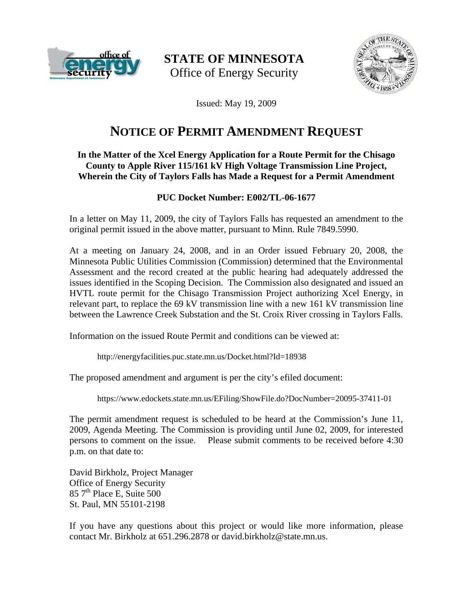

**STATE OF MINNESOTA**  Office of Energy Security



Issued: May 19, 2009

# **NOTICE OF PERMIT AMENDMENT REQUEST**

## **In the Matter of the Xcel Energy Application for a Route Permit for the Chisago County to Apple River 115/161 kV High Voltage Transmission Line Project, Wherein the City of Taylors Falls has Made a Request for a Permit Amendment**

# **PUC Docket Number: E002/TL-06-1677**

In a letter on May 11, 2009, the city of Taylors Falls has requested an amendment to the original permit issued in the above matter, pursuant to Minn. Rule 7849.5990.

At a meeting on January 24, 2008, and in an Order issued February 20, 2008, the Minnesota Public Utilities Commission (Commission) determined that the Environmental Assessment and the record created at the public hearing had adequately addressed the issues identified in the Scoping Decision.The Commission also designated and issued an HVTL route permit for the Chisago Transmission Project authorizing Xcel Energy, in relevant part, to replace the 69 kV transmission line with a new 161 kV transmission line between the Lawrence Creek Substation and the St. Croix River crossing in Taylors Falls.

Information on the issued Route Permit and conditions can be viewed at:

<http://energyfacilities.puc.state.mn.us/Docket.html?Id=18938>

The proposed amendment and argument is per the city's efiled document:

<https://www.edockets.state.mn.us/EFiling/ShowFile.do?DocNumber=20095-37411-01>

The permit amendment request is scheduled to be heard at the Commission's June 11, 2009, Agenda Meeting. The Commission is providing until June 02, 2009, for interested persons to comment on the issue. Please submit comments to be received before 4:30 p.m. on that date to:

David Birkholz, Project Manager Office of Energy Security  $857<sup>th</sup>$  Place E, Suite  $500$ St. Paul, MN 55101-2198

If you have any questions about this project or would like more information, please contact Mr. Birkholz at 651.296.2878 or david.birkholz@state.mn.us.